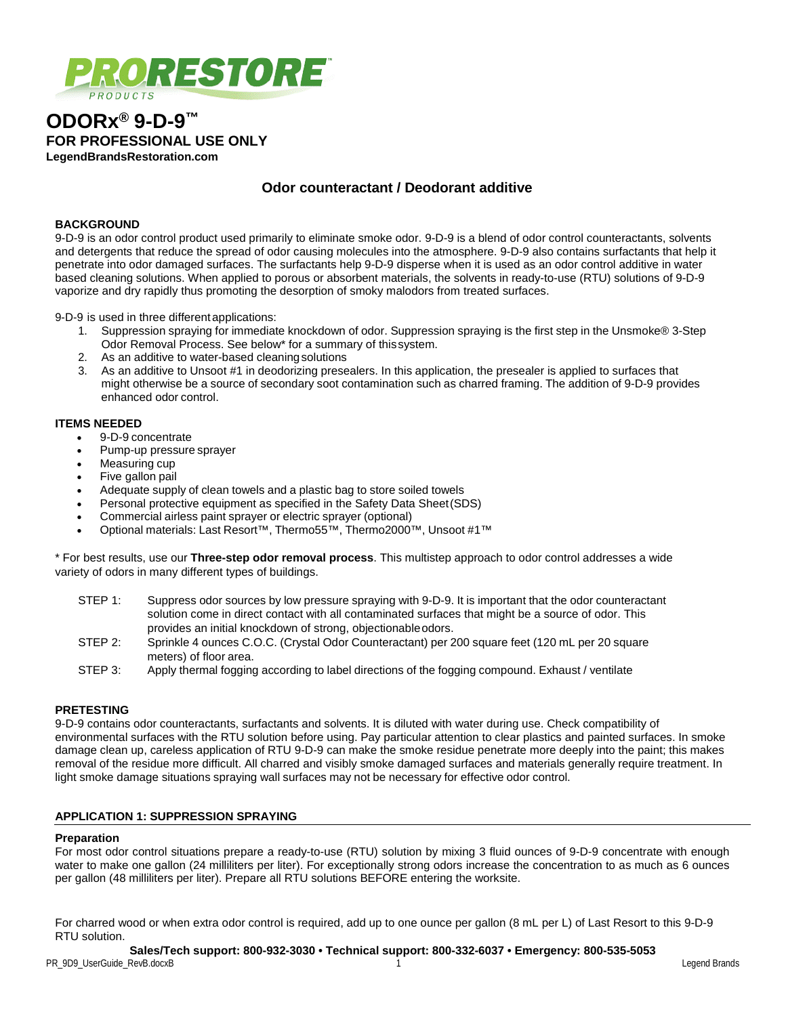

# **ODORx® 9-D-9™ FOR PROFESSIONAL USE ONLY LegendBrandsRestoration.com**

# **Odor counteractant / Deodorant additive**

## **BACKGROUND**

9-D-9 is an odor control product used primarily to eliminate smoke odor. 9-D-9 is a blend of odor control counteractants, solvents and detergents that reduce the spread of odor causing molecules into the atmosphere. 9-D-9 also contains surfactants that help it penetrate into odor damaged surfaces. The surfactants help 9-D-9 disperse when it is used as an odor control additive in water based cleaning solutions. When applied to porous or absorbent materials, the solvents in ready-to-use (RTU) solutions of 9-D-9 vaporize and dry rapidly thus promoting the desorption of smoky malodors from treated surfaces.

9-D-9 is used in three differentapplications:

- 1. Suppression spraying for immediate knockdown of odor. Suppression spraying is the first step in the Unsmoke® 3-Step Odor Removal Process. See below\* for a summary of thissystem.
- 2. As an additive to water-based cleaningsolutions
- 3. As an additive to Unsoot #1 in deodorizing presealers. In this application, the presealer is applied to surfaces that might otherwise be a source of secondary soot contamination such as charred framing. The addition of 9-D-9 provides enhanced odor control.

#### **ITEMS NEEDED**

- 9-D-9 concentrate
- Pump-up pressure sprayer
- Measuring cup
- Five gallon pail
- Adequate supply of clean towels and a plastic bag to store soiled towels
- Personal protective equipment as specified in the Safety Data Sheet(SDS)
- Commercial airless paint sprayer or electric sprayer (optional)
- Optional materials: Last Resort™, Thermo55™, Thermo2000™, Unsoot #1™

\* For best results, use our **Three-step odor removal process**. This multistep approach to odor control addresses a wide variety of odors in many different types of buildings.

| STEP 1: | Suppress odor sources by low pressure spraying with 9-D-9. It is important that the odor counteractant |
|---------|--------------------------------------------------------------------------------------------------------|
|         | solution come in direct contact with all contaminated surfaces that might be a source of odor. This    |
|         | provides an initial knockdown of strong, objectionable odors.                                          |

- STEP 2: Sprinkle 4 ounces C.O.C. (Crystal Odor Counteractant) per 200 square feet (120 mL per 20 square meters) of floor area.
- STEP 3: Apply thermal fogging according to label directions of the fogging compound. Exhaust / ventilate

## **PRETESTING**

9-D-9 contains odor counteractants, surfactants and solvents. It is diluted with water during use. Check compatibility of environmental surfaces with the RTU solution before using. Pay particular attention to clear plastics and painted surfaces. In smoke damage clean up, careless application of RTU 9-D-9 can make the smoke residue penetrate more deeply into the paint; this makes removal of the residue more difficult. All charred and visibly smoke damaged surfaces and materials generally require treatment. In light smoke damage situations spraying wall surfaces may not be necessary for effective odor control.

## **APPLICATION 1: SUPPRESSION SPRAYING**

#### **Preparation**

For most odor control situations prepare a ready-to-use (RTU) solution by mixing 3 fluid ounces of 9-D-9 concentrate with enough water to make one gallon (24 milliliters per liter). For exceptionally strong odors increase the concentration to as much as 6 ounces per gallon (48 milliliters per liter). Prepare all RTU solutions BEFORE entering the worksite.

For charred wood or when extra odor control is required, add up to one ounce per gallon (8 mL per L) of Last Resort to this 9-D-9 RTU solution.

## **Sales/Tech support: 800-932-3030 • Technical support: 800-332-6037 • Emergency: 800-535-5053**

PR\_9D9\_UserGuide\_RevB.docxB 1 Legend Brands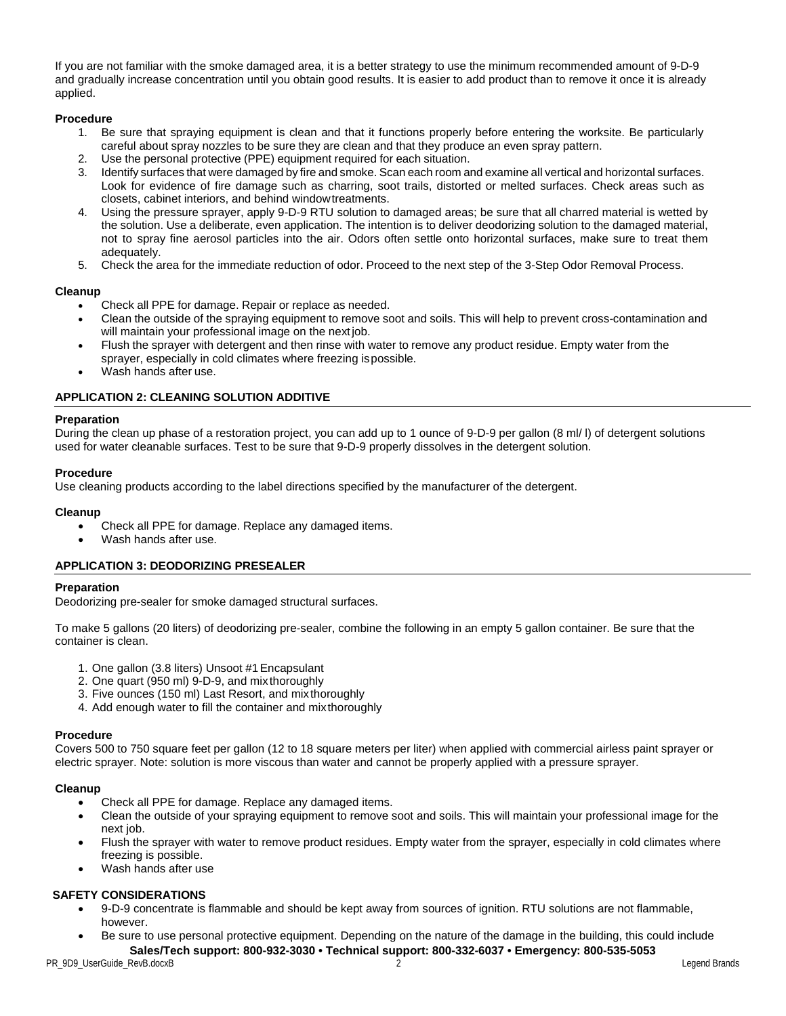If you are not familiar with the smoke damaged area, it is a better strategy to use the minimum recommended amount of 9-D-9 and gradually increase concentration until you obtain good results. It is easier to add product than to remove it once it is already applied.

## **Procedure**

- 1. Be sure that spraying equipment is clean and that it functions properly before entering the worksite. Be particularly careful about spray nozzles to be sure they are clean and that they produce an even spray pattern.
- 2. Use the personal protective (PPE) equipment required for each situation.
- 3. Identify surfaces that were damaged by fire and smoke. Scan each room and examine all vertical and horizontal surfaces. Look for evidence of fire damage such as charring, soot trails, distorted or melted surfaces. Check areas such as closets, cabinet interiors, and behind windowtreatments.
- 4. Using the pressure sprayer, apply 9-D-9 RTU solution to damaged areas; be sure that all charred material is wetted by the solution. Use a deliberate, even application. The intention is to deliver deodorizing solution to the damaged material, not to spray fine aerosol particles into the air. Odors often settle onto horizontal surfaces, make sure to treat them adequately.
- 5. Check the area for the immediate reduction of odor. Proceed to the next step of the 3-Step Odor Removal Process.

## **Cleanup**

- Check all PPE for damage. Repair or replace as needed.
- Clean the outside of the spraying equipment to remove soot and soils. This will help to prevent cross-contamination and will maintain your professional image on the nextjob.
- Flush the sprayer with detergent and then rinse with water to remove any product residue. Empty water from the sprayer, especially in cold climates where freezing ispossible.
- Wash hands after use.

## **APPLICATION 2: CLEANING SOLUTION ADDITIVE**

## **Preparation**

During the clean up phase of a restoration project, you can add up to 1 ounce of 9-D-9 per gallon (8 ml/ l) of detergent solutions used for water cleanable surfaces. Test to be sure that 9-D-9 properly dissolves in the detergent solution.

## **Procedure**

Use cleaning products according to the label directions specified by the manufacturer of the detergent.

## **Cleanup**

- Check all PPE for damage. Replace any damaged items.
- Wash hands after use.

## **APPLICATION 3: DEODORIZING PRESEALER**

## **Preparation**

Deodorizing pre-sealer for smoke damaged structural surfaces.

To make 5 gallons (20 liters) of deodorizing pre-sealer, combine the following in an empty 5 gallon container. Be sure that the container is clean.

- 1. One gallon (3.8 liters) Unsoot #1Encapsulant
- 2. One quart (950 ml) 9-D-9, and mix thoroughly
- 3. Five ounces (150 ml) Last Resort, and mixthoroughly
- 4. Add enough water to fill the container and mixthoroughly

## **Procedure**

Covers 500 to 750 square feet per gallon (12 to 18 square meters per liter) when applied with commercial airless paint sprayer or electric sprayer. Note: solution is more viscous than water and cannot be properly applied with a pressure sprayer.

## **Cleanup**

- Check all PPE for damage. Replace any damaged items.
- Clean the outside of your spraying equipment to remove soot and soils. This will maintain your professional image for the next job.
- Flush the sprayer with water to remove product residues. Empty water from the sprayer, especially in cold climates where freezing is possible.
- Wash hands after use

## **SAFETY CONSIDERATIONS**

- 9-D-9 concentrate is flammable and should be kept away from sources of ignition. RTU solutions are not flammable, however.
- **Sales/Tech support: 800-932-3030 Technical support: 800-332-6037 Emergency: 800-535-5053** • Be sure to use personal protective equipment. Depending on the nature of the damage in the building, this could include